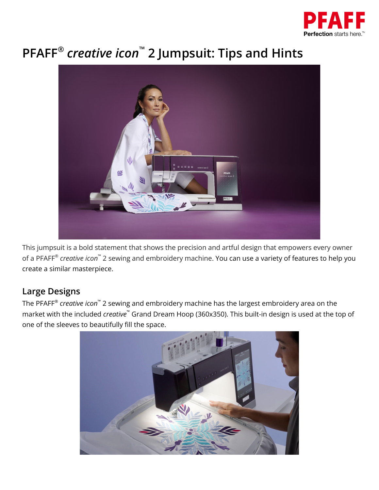

## **PFAFF ®** *creative icon* **™ 2 Jumpsuit: Tips and Hints**



This jumpsuit is a bold statement that shows the precision and artful design that empowers every owner of a PFAFF ® *creative icon* ™ 2 sewing and embroidery machine. You can use a variety of features to help you create a similar masterpiece.

## **Large Designs**

The PFAFF ® *creative icon* ™ 2 sewing and embroidery machine has the largest embroidery area on the market with the included *creative* ™ Grand Dream Hoop (360x350). This built-in design is used at the top of one of the sleeves to beautifully fill the space.